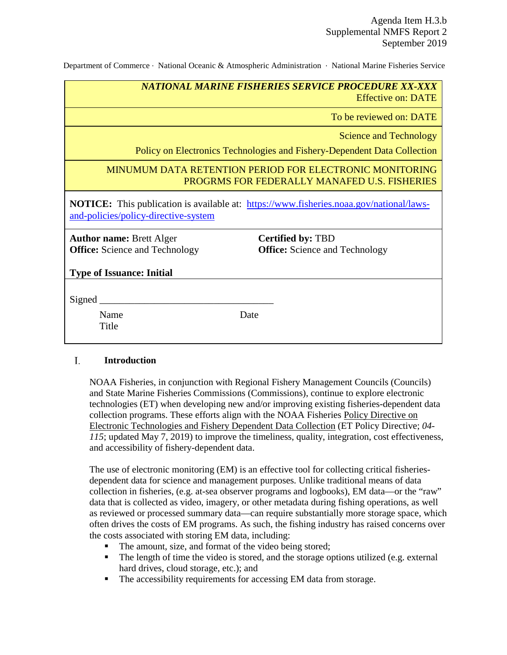Department of Commerce ∙ National Oceanic & Atmospheric Administration ∙ National Marine Fisheries Service

| NATIONAL MARINE FISHERIES SERVICE PROCEDURE XX-XXX |  |                           |
|----------------------------------------------------|--|---------------------------|
|                                                    |  | <b>Effective on: DATE</b> |

To be reviewed on: DATE

Science and Technology

Policy on Electronics Technologies and Fishery-Dependent Data Collection

## MINUMUM DATA RETENTION PERIOD FOR ELECTRONIC MONITORING PROGRMS FOR FEDERALLY MANAFED U.S. FISHERIES

**NOTICE:** This publication is available at: [https://www.fisheries.noaa.gov/national/laws](https://www.fisheries.noaa.gov/national/laws-and-policies/policy-directive-system)[and-policies/policy-directive-system](https://www.fisheries.noaa.gov/national/laws-and-policies/policy-directive-system)

**Author name:** Brett Alger **Office:** Science and Technology **Certified by:** TBD **Office:** Science and Technology

**Type of Issuance: Initial**

Signed

Name Date Title

#### L. **Introduction**

NOAA Fisheries, in conjunction with Regional Fishery Management Councils (Councils) and State Marine Fisheries Commissions (Commissions), continue to explore electronic technologies (ET) when developing new and/or improving existing fisheries-dependent data collection programs. These efforts align with the NOAA Fisheries Policy Directive on Electronic Technologies and Fishery Dependent Data Collection (ET Policy Directive; *04- 115*; updated May 7, 2019) to improve the timeliness, quality, integration, cost effectiveness, and accessibility of fishery-dependent data.

The use of electronic monitoring (EM) is an effective tool for collecting critical fisheriesdependent data for science and management purposes. Unlike traditional means of data collection in fisheries, (e.g. at-sea observer programs and logbooks), EM data—or the "raw" data that is collected as video, imagery, or other metadata during fishing operations, as well as reviewed or processed summary data—can require substantially more storage space, which often drives the costs of EM programs. As such, the fishing industry has raised concerns over the costs associated with storing EM data, including:

- The amount, size, and format of the video being stored;
- The length of time the video is stored, and the storage options utilized (e.g. external hard drives, cloud storage, etc.); and
- The accessibility requirements for accessing EM data from storage.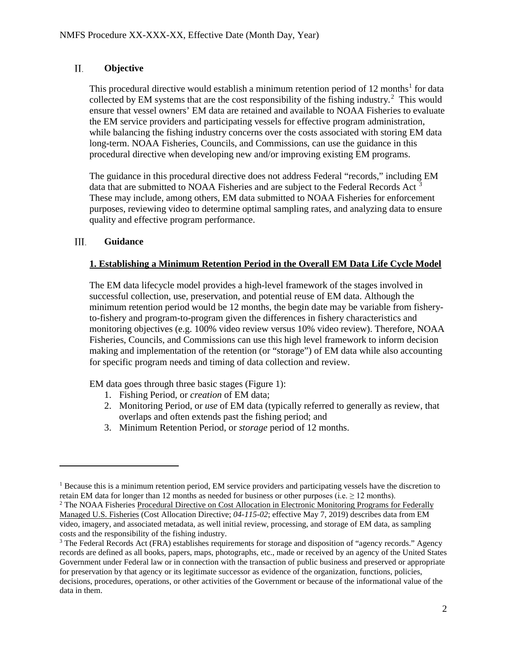#### П. **Objective**

This procedural directive would establish a minimum retention period of  $12$  $12$  months<sup>1</sup> for data collected by EM systems that are the cost responsibility of the fishing industry.<sup>[2](#page-1-1)</sup> This would ensure that vessel owners' EM data are retained and available to NOAA Fisheries to evaluate the EM service providers and participating vessels for effective program administration, while balancing the fishing industry concerns over the costs associated with storing EM data long-term. NOAA Fisheries, Councils, and Commissions, can use the guidance in this procedural directive when developing new and/or improving existing EM programs.

The guidance in this procedural directive does not address Federal "records," including EM data that are submitted to NOAA Fisheries and are subject to the Federal Records Act<sup>[3](#page-1-2)</sup> These may include, among others, EM data submitted to NOAA Fisheries for enforcement purposes, reviewing video to determine optimal sampling rates, and analyzing data to ensure quality and effective program performance.

#### III. **Guidance**

 $\overline{a}$ 

# **1. Establishing a Minimum Retention Period in the Overall EM Data Life Cycle Model**

The EM data lifecycle model provides a high-level framework of the stages involved in successful collection, use, preservation, and potential reuse of EM data. Although the minimum retention period would be 12 months, the begin date may be variable from fisheryto-fishery and program-to-program given the differences in fishery characteristics and monitoring objectives (e.g. 100% video review versus 10% video review). Therefore, NOAA Fisheries, Councils, and Commissions can use this high level framework to inform decision making and implementation of the retention (or "storage") of EM data while also accounting for specific program needs and timing of data collection and review.

EM data goes through three basic stages (Figure 1):

- 1. Fishing Period, or *creation* of EM data;
- 2. Monitoring Period, or *use* of EM data (typically referred to generally as review, that overlaps and often extends past the fishing period; and
- 3. Minimum Retention Period, or *storage* period of 12 months.

<span id="page-1-0"></span><sup>1</sup> Because this is a minimum retention period, EM service providers and participating vessels have the discretion to retain EM data for longer than 12 months as needed for business or other purposes (i.e.  $\geq$  12 months).

<span id="page-1-1"></span><sup>&</sup>lt;sup>2</sup> The NOAA Fisheries Procedural Directive on Cost Allocation in Electronic Monitoring Programs for Federally Managed U.S. Fisheries (Cost Allocation Directive; *04-115-02*; effective May 7, 2019) describes data from EM video, imagery, and associated metadata, as well initial review, processing, and storage of EM data, as sampling costs and the responsibility of the fishing industry.

<span id="page-1-2"></span><sup>&</sup>lt;sup>3</sup> The Federal Records Act (FRA) establishes requirements for storage and disposition of "agency records." Agency records are defined as all books, papers, maps, photographs, etc., made or received by an agency of the United States Government under Federal law or in connection with the transaction of public business and preserved or appropriate for preservation by that agency or its legitimate successor as evidence of the organization, functions, policies, decisions, procedures, operations, or other activities of the Government or because of the informational value of the data in them.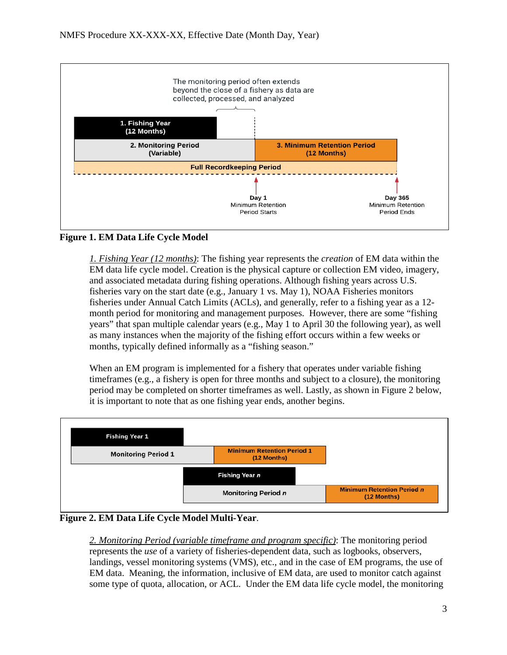

# **Figure 1. EM Data Life Cycle Model**

*1. Fishing Year (12 months)*: The fishing year represents the *creation* of EM data within the EM data life cycle model. Creation is the physical capture or collection EM video, imagery, and associated metadata during fishing operations. Although fishing years across U.S. fisheries vary on the start date (e.g., January 1 vs. May 1), NOAA Fisheries monitors fisheries under Annual Catch Limits (ACLs), and generally, refer to a fishing year as a 12 month period for monitoring and management purposes. However, there are some "fishing years" that span multiple calendar years (e.g., May 1 to April 30 the following year), as well as many instances when the majority of the fishing effort occurs within a few weeks or months, typically defined informally as a "fishing season."

When an EM program is implemented for a fishery that operates under variable fishing timeframes (e.g., a fishery is open for three months and subject to a closure), the monitoring period may be completed on shorter timeframes as well. Lastly, as shown in Figure 2 below, it is important to note that as one fishing year ends, another begins.



**Figure 2. EM Data Life Cycle Model Multi-Year**.

*2. Monitoring Period (variable timeframe and program specific)*: The monitoring period represents the *use* of a variety of fisheries-dependent data, such as logbooks, observers, landings, vessel monitoring systems (VMS), etc., and in the case of EM programs, the use of EM data. Meaning, the information, inclusive of EM data, are used to monitor catch against some type of quota, allocation, or ACL. Under the EM data life cycle model, the monitoring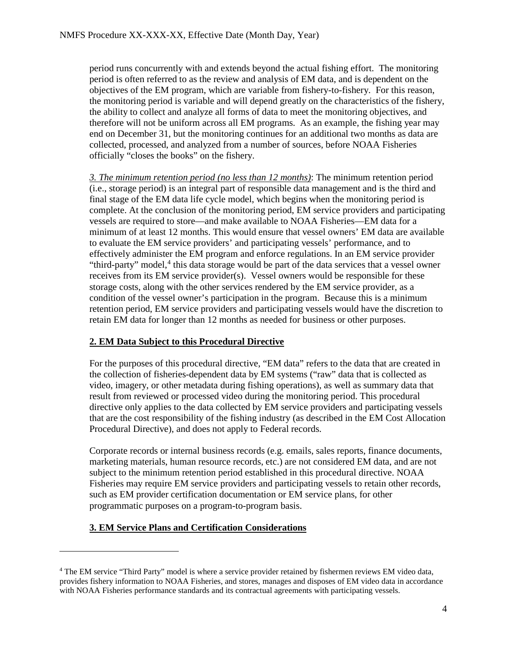period runs concurrently with and extends beyond the actual fishing effort. The monitoring period is often referred to as the review and analysis of EM data, and is dependent on the objectives of the EM program, which are variable from fishery-to-fishery. For this reason, the monitoring period is variable and will depend greatly on the characteristics of the fishery, the ability to collect and analyze all forms of data to meet the monitoring objectives, and therefore will not be uniform across all EM programs. As an example, the fishing year may end on December 31, but the monitoring continues for an additional two months as data are collected, processed, and analyzed from a number of sources, before NOAA Fisheries officially "closes the books" on the fishery.

*3. The minimum retention period (no less than 12 months)*: The minimum retention period (i.e., storage period) is an integral part of responsible data management and is the third and final stage of the EM data life cycle model, which begins when the monitoring period is complete. At the conclusion of the monitoring period, EM service providers and participating vessels are required to store—and make available to NOAA Fisheries—EM data for a minimum of at least 12 months. This would ensure that vessel owners' EM data are available to evaluate the EM service providers' and participating vessels' performance, and to effectively administer the EM program and enforce regulations. In an EM service provider "third-party" model,<sup>[4](#page-3-0)</sup> this data storage would be part of the data services that a vessel owner receives from its EM service provider(s). Vessel owners would be responsible for these storage costs, along with the other services rendered by the EM service provider, as a condition of the vessel owner's participation in the program. Because this is a minimum retention period, EM service providers and participating vessels would have the discretion to retain EM data for longer than 12 months as needed for business or other purposes.

### **2. EM Data Subject to this Procedural Directive**

For the purposes of this procedural directive, "EM data" refers to the data that are created in the collection of fisheries-dependent data by EM systems ("raw" data that is collected as video, imagery, or other metadata during fishing operations), as well as summary data that result from reviewed or processed video during the monitoring period. This procedural directive only applies to the data collected by EM service providers and participating vessels that are the cost responsibility of the fishing industry (as described in the EM Cost Allocation Procedural Directive), and does not apply to Federal records.

Corporate records or internal business records (e.g. emails, sales reports, finance documents, marketing materials, human resource records, etc.) are not considered EM data, and are not subject to the minimum retention period established in this procedural directive. NOAA Fisheries may require EM service providers and participating vessels to retain other records, such as EM provider certification documentation or EM service plans, for other programmatic purposes on a program-to-program basis.

# **3. EM Service Plans and Certification Considerations**

 $\overline{a}$ 

<span id="page-3-0"></span><sup>4</sup> The EM service "Third Party" model is where a service provider retained by fishermen reviews EM video data, provides fishery information to NOAA Fisheries, and stores, manages and disposes of EM video data in accordance with NOAA Fisheries performance standards and its contractual agreements with participating vessels.